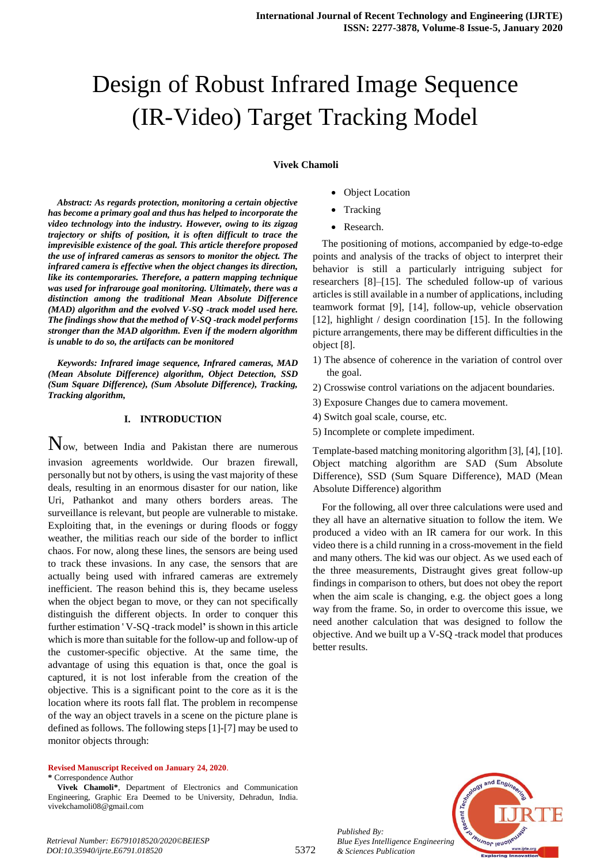# Design of Robust Infrared Image Sequence (IR-Video) Target Tracking Model

#### **Vivek Chamoli**

*Abstract: As regards protection, monitoring a certain objective has become a primary goal and thus has helped to incorporate the video technology into the industry. However, owing to its zigzag trajectory or shifts of position, it is often difficult to trace the imprevisible existence of the goal. This article therefore proposed the use of infrared cameras as sensors to monitor the object. The infrared camera is effective when the object changes its direction, like its contemporaries. Therefore, a pattern mapping technique was used for infrarouge goal monitoring. Ultimately, there was a distinction among the traditional Mean Absolute Difference (MAD) algorithm and the evolved V-SQ -track model used here. The findings show that the method of V-SQ -track model performs stronger than the MAD algorithm. Even if the modern algorithm is unable to do so, the artifacts can be monitored*

*Keywords: Infrared image sequence, Infrared cameras, MAD (Mean Absolute Difference) algorithm, Object Detection, SSD (Sum Square Difference), (Sum Absolute Difference), Tracking, Tracking algorithm,*

#### **I. INTRODUCTION**

Now, between India and Pakistan there are numerous invasion agreements worldwide. Our brazen firewall, personally but not by others, is using the vast majority of these deals, resulting in an enormous disaster for our nation, like Uri, Pathankot and many others borders areas. The surveillance is relevant, but people are vulnerable to mistake. Exploiting that, in the evenings or during floods or foggy weather, the militias reach our side of the border to inflict chaos. For now, along these lines, the sensors are being used to track these invasions. In any case, the sensors that are actually being used with infrared cameras are extremely inefficient. The reason behind this is, they became useless when the object began to move, or they can not specifically distinguish the different objects. In order to conquer this further estimation ' V-SQ -track model**'** is shown in this article which is more than suitable for the follow-up and follow-up of the customer-specific objective. At the same time, the advantage of using this equation is that, once the goal is captured, it is not lost inferable from the creation of the objective. This is a significant point to the core as it is the location where its roots fall flat. The problem in recompense of the way an object travels in a scene on the picture plane is defined as follows. The following steps [1]-[7] may be used to monitor objects through:

#### **Revised Manuscript Received on January 24, 2020**.

**\*** Correspondence Author

- Object Location
- Tracking
- Research.

The positioning of motions, accompanied by edge-to-edge points and analysis of the tracks of object to interpret their behavior is still a particularly intriguing subject for researchers [8]–[15]. The scheduled follow-up of various articles is still available in a number of applications, including teamwork format [9], [14], follow-up, vehicle observation [12], highlight / design coordination [15]. In the following picture arrangements, there may be different difficulties in the object [8].

- 1) The absence of coherence in the variation of control over the goal.
- 2) Crosswise control variations on the adjacent boundaries.
- 3) Exposure Changes due to camera movement.
- 4) Switch goal scale, course, etc.
- 5) Incomplete or complete impediment.

Template-based matching monitoring algorithm [3], [4], [10]. Object matching algorithm are SAD (Sum Absolute Difference), SSD (Sum Square Difference), MAD (Mean Absolute Difference) algorithm

For the following, all over three calculations were used and they all have an alternative situation to follow the item. We produced a video with an IR camera for our work. In this video there is a child running in a cross-movement in the field and many others. The kid was our object. As we used each of the three measurements, Distraught gives great follow-up findings in comparison to others, but does not obey the report when the aim scale is changing, e.g. the object goes a long way from the frame. So, in order to overcome this issue, we need another calculation that was designed to follow the objective. And we built up a V-SQ -track model that produces better results.



*Published By: Blue Eyes Intelligence Engineering & Sciences Publication* 

**Vivek Chamoli\***, Department of Electronics and Communication Engineering, Graphic Era Deemed to be University, Dehradun, India. vivekchamoli08@gmail.com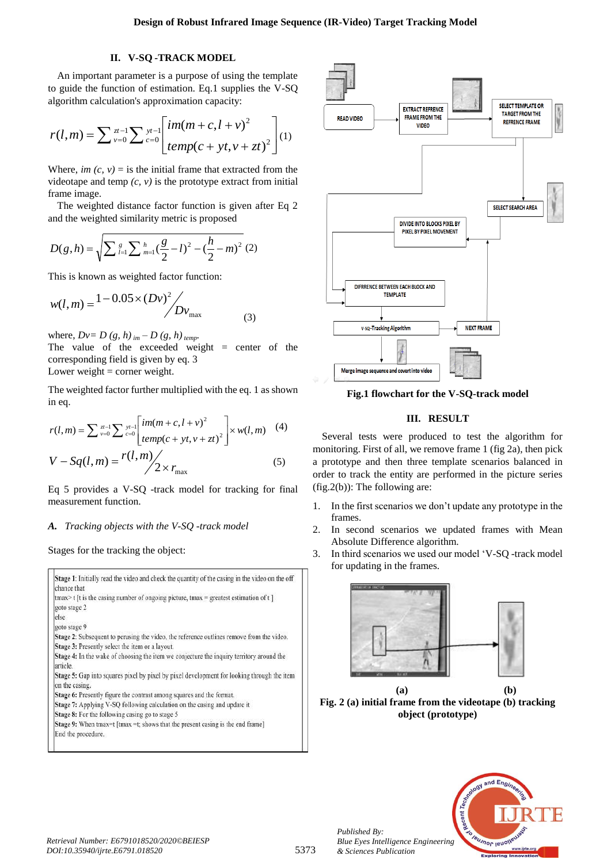## **II. V-SQ -TRACK MODEL**

An important parameter is a purpose of using the template to guide the function of estimation. Eq.1 supplies the V-SQ algorithm calculation's approximation capacity:

$$
r(l,m) = \sum_{v=0}^{\infty} \sum_{v=0}^{u-1} \sum_{c=0}^{y_l-1} {im(m+c, l+v)^2 \over temp(c+yt, v+zt)^2} \Bigg] (1)
$$

Where, *im (c, v)* = is the initial frame that extracted from the videotape and temp  $(c, v)$  is the prototype extract from initial frame image.

The weighted distance factor function is given after Eq 2 and the weighted similarity metric is proposed

$$
D(g,h) = \sqrt{\sum_{l=1}^{g} \sum_{m=1}^{h} \left(\frac{g}{2} - l\right)^2 - \left(\frac{h}{2} - m\right)^2} (2)
$$

This is known as weighted factor function:

$$
w(l,m) = \frac{1 - 0.05 \times (Dv)^2}{Dv_{\text{max}}}
$$
 (3)

where,  $Dv = D (g, h)_{im} - D (g, h)_{temp}$ .

The value of the exceeded weight  $=$  center of the corresponding field is given by eq. 3

Lower weight  $=$  corner weight.

The weighted factor further multiplied with the eq. 1 as shown in eq.

$$
r(l,m) = \sum_{v=0}^{\infty} \sum_{v=0}^{v-1} \sum_{c=0}^{v-1} \left[ \frac{im(m+c, l+v)^2}{temp(c + yt, v + zt)^2} \right] \times w(l,m)
$$
 (4)  

$$
V - Sq(l,m) = \frac{r(l,m)}{2 \times r_{\text{max}}}
$$
 (5)

Eq 5 provides a V-SQ -track model for tracking for final measurement function.

# *A. Tracking objects with the V-SQ -track model*

Stages for the tracking the object:

| chance that        | Stage 1: Initially read the video and check the quantity of the casing in the video on the off |
|--------------------|------------------------------------------------------------------------------------------------|
|                    | $\text{tmax}$ t [t is the casing number of ongoing picture, tmax = greatest estimation of t ]  |
| goto stage 2       |                                                                                                |
| else               |                                                                                                |
| goto stage 9       |                                                                                                |
|                    | Stage 2: Subsequent to perusing the video, the reference outlines remove from the video.       |
|                    | Stage 3: Presently select the item or a layout.                                                |
| article.           | Stage 4: In the wake of choosing the item we conjecture the inquiry territory around the       |
| on the casing.     | Stage 5: Gap into squares pixel by pixel by pixel development for looking through the item     |
|                    | Stage 6: Presently figure the contrast among squares and the format.                           |
|                    | Stage 7: Applying V-SQ following calculation on the casing and update it                       |
|                    | Stage 8: For the following casing go to stage 5                                                |
|                    | Stage 9: When tmax=t [tmax =t; shows that the present casing is the end frame]                 |
| End the procedure. |                                                                                                |



**Fig.1 flowchart for the V-SQ-track model**

## **III. RESULT**

Several tests were produced to test the algorithm for monitoring. First of all, we remove frame 1 (fig 2a), then pick a prototype and then three template scenarios balanced in order to track the entity are performed in the picture series (fig.2(b)): The following are:

- 1. In the first scenarios we don't update any prototype in the frames.
- 2. In second scenarios we updated frames with Mean Absolute Difference algorithm.
- 3. In third scenarios we used our model 'V-SQ -track model for updating in the frames.



**(a) (b) Fig. 2 (a) initial frame from the videotape (b) tracking object (prototype)**



*Published By:*

*& Sciences Publication*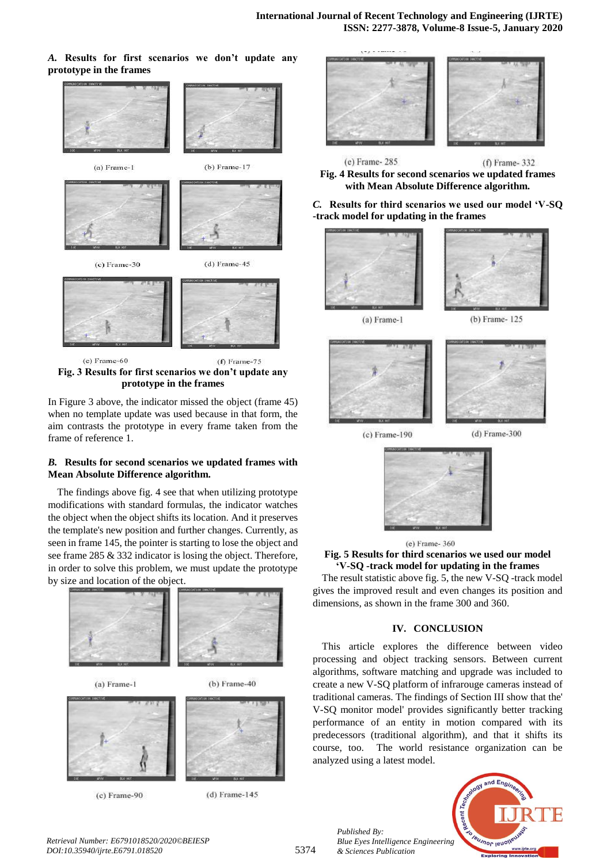### *A.* **Results for first scenarios we don't update any prototype in the frames**



**Fig. 3 Results for first scenarios we don't update any prototype in the frames**

In Figure 3 above, the indicator missed the object (frame 45) when no template update was used because in that form, the aim contrasts the prototype in every frame taken from the frame of reference 1.

## *B.* **Results for second scenarios we updated frames with Mean Absolute Difference algorithm.**

The findings above fig. 4 see that when utilizing prototype modifications with standard formulas, the indicator watches the object when the object shifts its location. And it preserves the template's new position and further changes. Currently, as seen in frame 145, the pointer is starting to lose the object and see frame 285 & 332 indicator is losing the object. Therefore, in order to solve this problem, we must update the prototype by size and location of the object.





 $(c)$  Frame-90



 $(d)$  Frame-145



(e) Frame-285  $(f)$  Frame- $332$ **Fig. 4 Results for second scenarios we updated frames with Mean Absolute Difference algorithm.**

*C.* **Results for third scenarios we used our model 'V-SQ -track model for updating in the frames**







 $(d)$  Frame-300

 $(c)$  Frame-190





## **Fig. 5 Results for third scenarios we used our model 'V-SQ -track model for updating in the frames**

The result statistic above fig. 5, the new V-SQ -track model gives the improved result and even changes its position and dimensions, as shown in the frame 300 and 360.

## **IV. CONCLUSION**

This article explores the difference between video processing and object tracking sensors. Between current algorithms, software matching and upgrade was included to create a new V-SQ platform of infrarouge cameras instead of traditional cameras. The findings of Section III show that the' V-SQ monitor model' provides significantly better tracking performance of an entity in motion compared with its predecessors (traditional algorithm), and that it shifts its course, too. The world resistance organization can be analyzed using a latest model.



*Retrieval Number: E6791018520/2020©BEIESP DOI:10.35940/ijrte.E6791.018520*

*Published By:*

*& Sciences Publication*